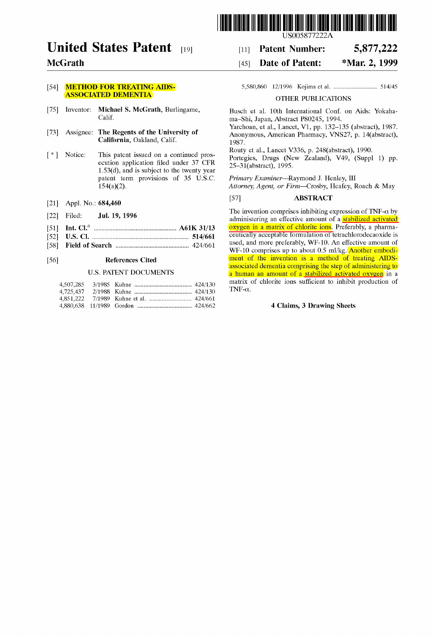

[11] Patent Number: [45] Date of Patent:

# **United States Patent** [19]

### **McGrath**

#### [54] **METHOD FOR TREATING AIDS-**ASSOCIATED DEMENTIA

- [75] Inventor: Michael S. McGrath, Burlingame, Calif.
- [73] Assignee: The Regents of the University of California, Oakland, Calif.
- [ \*] Notice: This patent issued on a continued prosecution application filed under 37 CFR  $1.53(d)$ , and is subject to the twenty year patent term provisions of 35 U.S.C. 154(a)(2).
- [21] Appl. No.: 684,460
- [22] Filed: **Jul. 19, 1996**
- [51] Int. CI.6 ..................................................... A61K 31/13
- [52] U.S. CI. .............................................................. 514/661
- [58] Field of Search ............................................... 424/661

#### [56] References Cited

#### U.S. PATENT DOCUMENTS

5,580,860 12/1996 Kojima et al. ............................ 514/45

5,877,222 \*Mar. 2, 1999

#### OTHER PUBLICATIONS

Busch et al. 10th International Conf. on Aids: Yokahama-Shi, Japan, Abstract P80245, 1994.

Yarchoan, et al., Lancet, V1, pp. 132-135 (abstract), 1987. Anonymous, American Pharmacy, VNS27, p. 14(abstract), 1987.

Routy et al., Lancet V336, p. 248(abstract), 1990.

Portegies, Drugs (New Zealand), V49, (Suppl 1) pp. 25-31(abstract), 1995.

*Primary Examiner-Raymond* J. Henley, III *Attorney, Agent, or Firm-Crosby,* Heafey, Roach & May

#### [57] ABSTRACT

The invention comprises inhibiting expression of TNF- $\alpha$  by administering an effective amount of a stabilized activated oxygen in a matrix of chlorite ions. Preferably, a pharmaceutically acceptable formulation of tetrachlorodecaoxide is used, and more preferably, WF-lO. An effective amount of WF-10 comprises up to about 0.5 ml/kg. Another embodiment of the invention is a method of treating AIDSassociated dementia comprising the step of administering to a human an amount of a stabilized activated oxygen in a matrix of chlorite ions sufficient to inhibit production of TNF- $\alpha$ .

#### 4 Claims, 3 Drawing Sheets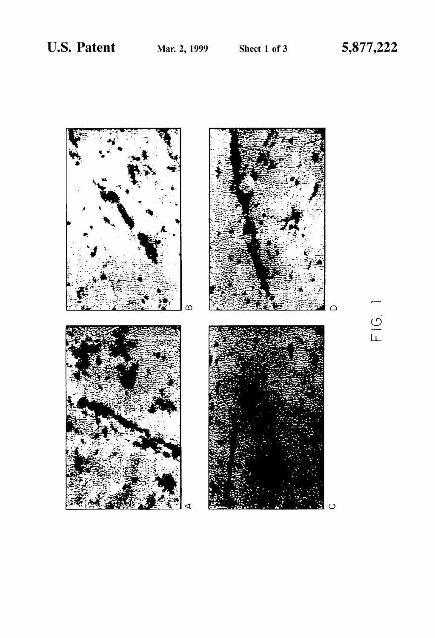

 $\frac{1}{2}$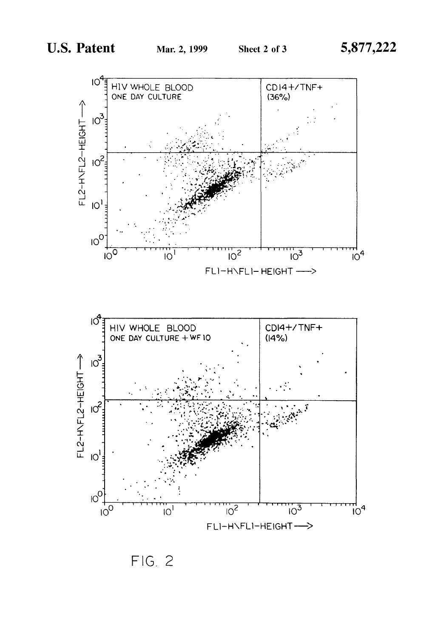

 $FIG. 2$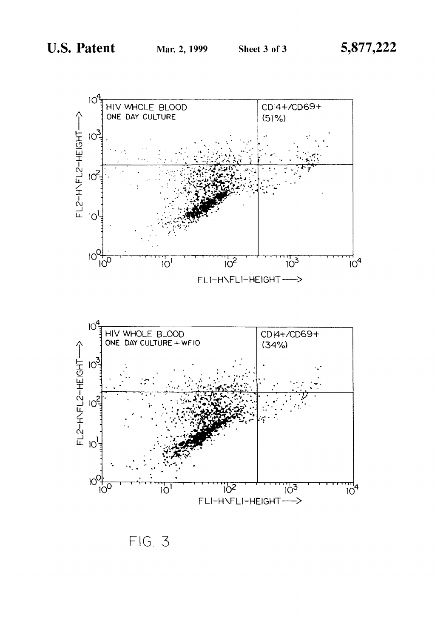

 $FIG. 3$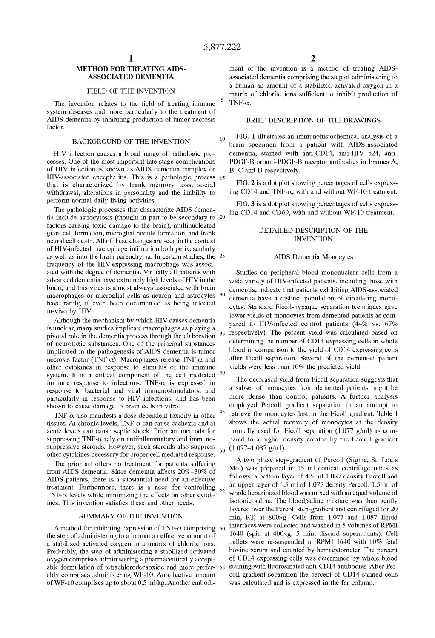10

#### METHOD FOR TREATING AIDS-ASSOCIATED DEMENTIA

#### FIELD OF THE INVENTION

The invention relates to the field of treating immune system diseases and more particularly to the treatment of AIDS dementia by inhibiting production of tumor necrosis factor.

#### BACKGROUND OF THE INVENTION

HIV infection causes a broad range of pathologic processes. One of the most important late stage complications of HIV infection is known as AIDS dementia complex or HIV-associated encephalitis. This is a pathologic process 15 that is characterized by frank memory loss, social withdrawal, alterations in personality and the inability to

tia include astrocytosis (thought in part to be secondary to factors causing toxic damage to the brain), multinucleated giant cell formation, microglial nodule formation, and frank neural cell death. All of these changes are seen in the context of HIV-infected macrophage infiltration both perivascularly as well as into the brain parenchyma. In certain studies, the 25 frequency of the HIV-expressing macrophage was associated with the degree of dementia. Virtually all patients with advanced dementia have extremely high levels of HIV in the brain, and this virus is almost always associated with brain macrophages or microglial cells as neuron and astrocytes 30 have rarely, if ever, been documented as being infected in-vivo by HIY.

Although the mechanism by which HIV causes dementia pivotal role in the dementia process through the elaboration of neurotoxic substances. One of the principal substances implicated in the pathogenesis of AIDS dementia is tumor necrosis factor (TNF- $\alpha$ ). Macrophages release TNF- $\alpha$  and other cytokines in response to stimulus of the immune system. It is a critical component of the cell mediated immune response to infections. TNF- $\alpha$  is expressed in response to bacterial and viral immunostimulators, and particularly in response to HIV infections, and has been shown to cause damage to brain cells in vitro.

TNF- $\alpha$  also manifests a dose dependent toxicity in other tissues. At chronic levels,  $TNF-\alpha$  can cause cachexia and at acute levels can cause septic shock. Prior art methods for suppressing TNF- $\alpha$  rely on antiinflammatory and immunosuppressive steroids. However, such steroids also suppress  $_{50}$ other cytokines necessary for proper cell mediated response.

The prior art offers no treatment for patients suffering from AIDS dementia. Since dementia affects 20%-30% of AIDS patients, there is a substantial need for an effective treatment. Furthermore, there is a need for controlling  $55$ TNF- $\alpha$  levels while minimizing the effects on other cytokines. This invention satisfies these and other needs.

#### SUMMARY OF THE INVENTION

A method for inhibiting expression of TNF- $\alpha$  comprising 60 the step of administering to a human an effective amount of a stabilized activated oxygen in a matrix of chlorite ions. Preferably, the step of administering a stabilized activated oxygen comprises administering a pharmaceutically acceptable formulation of tetrachlorodecaoxide and more prefer- 65 ably comprises administering WF-lO. An effective amount of WF-10 comprises up to about 0.5 ml/kg. Another embodi-

ment of the invention is a method of treating AIDSassociated dementia comprising the step of administering to a human an amount of a stabilized activated oxygen in a matrix of chlorite ions sufficient to inhibit production of TNF- $\alpha$ .

#### BRIEF DESCRIPTION OF THE DRAWINGS

FIG. 1 illustrates an immunohistochemical analysis of a brain specimen from a patient with AIDS-associated dementia, stained with anti-CD14, anti-HIV p24, anti-PDGF-B or anti-PDGF-B receptor antibodies in Frames A, B, C and D respectively.

FIG. 2 is a dot plot showing percentages of cells expressing CD14 and TNF- $\alpha$ , with and without WF-10 treatment.

perform normal daily living activities.<br>The pathologic processes that characterize AIDS demen-<br>ing CD14 and CD60, with and without WE 10 treatment ing CD14 and CD69, with and without WF-10 treatment.

#### DETAILED DESCRIPTION OF THE INVENTION

#### AIDS Dementia Monocytes

Studies on peripheral blood mononuclear cells from a wide variety of HIV-infected patients, including those with dementia, indicate that patients exhibiting AIDS-associated dementia have a distinct population of circulating monocytes. Standard Ficoll-hypaque separation techniques gave lower yields of monocytes from demented patients as com-Although the mechanism by which HIV causes definentia<br>is unclear, many studies implicate macrophages as playing a<br>initial calculated based on<br>initial calculated based on determining the number of CD14 expressing cells in whole blood in comparison to the yield of CD14 expressing cells after Ficoll separation. Several of the demented patient yields were less than 10% the predicted yield.

> The decreased yield from Ficoll separation suggests that a subset of monocytes from demented patients might be more dense than control patients. A further analysis employed Percoll gradient separation in an attempt to retrieve the monocytes lost in the Ficoll gradient. Table I shows the actual recovery of monocytes at the density normally used for Ficoll separation  $(1.077 \text{ g/ml})$  as compared to a higher density created by the Percoll gradient  $(1.077-1.087 \text{ g/ml})$ .

> A two phase step-gradient of Percoll (Sigma, St. Louis Mo.) was prepared in 15 mI conical centrifuge tubes as follows: a bottom layer of 4.5 mI 1.087 density Percoll and an upper layer of 4.5 mI of 1.077 density Percoll. 1.5 mI of whole heparinized blood was mixed with an equal volume of isotonic saline. The blood/saline mixture was then gently layered over the Percoll step-gradient and centrifuged for 20 min, RT, at 800xg. Cells from 1.077 and 1.087 liquid interfaces were collected and washed in 5 volumes of RPMI 1640 (spin at 400xg, 5 min, discard supernatants). Cell pellets were re-suspended in RPMI 1640 with 10% fetal bovine serum and counted by hemacytometer. The percent of CD14 expressing cells was determined by whole blood 65 staining with fiuorosinated anti-CD14 antibodies. After Percoll gradient separation the percent of CD14 stained cells was calculated and is expressed in the far column.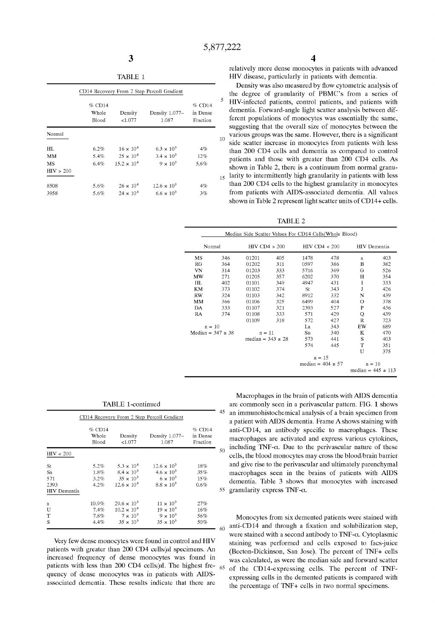TABLE 1

|                        | CD14 Recovery From 2 Step Percoll Gradient |                                          |                                            |                                |    |  |  |  |
|------------------------|--------------------------------------------|------------------------------------------|--------------------------------------------|--------------------------------|----|--|--|--|
|                        | $%$ CD14<br>Whole<br>Blood                 | Density<br>< 1.077                       | Density 1.077-<br>1.087                    | % CD14<br>in Dense<br>Fraction | 5  |  |  |  |
| Normal                 |                                            |                                          |                                            |                                | 10 |  |  |  |
| HL<br>MM               | 6.2%<br>5.4%                               | $16 \times 10^{4}$<br>$25 \times 10^{4}$ | $6.3 \times 10^{3}$<br>$3.4 \times 10^{3}$ | 4%<br>12%                      |    |  |  |  |
| <b>MS</b><br>HIV > 200 | 6.4%                                       | $15.2 \times 10^{4}$                     | $9 \times 10^3$                            | 5.6%                           |    |  |  |  |
| 8508                   | 5.6%                                       | $26 \times 10^{4}$                       | $12.6 \times 10^{3}$                       | 4%                             | 15 |  |  |  |
| 3958                   | 5.6%                                       | $24 \times 10^{4}$                       | $6.6 \times 10^{3}$                        | 3%                             |    |  |  |  |

relatively more dense monocytes in patients with advanced HIV disease, particularly in patients with dementia.

<sub>15</sub> larity to intermittently high granularity in patients with less Density was also measured by fiow cytometric analysis of the degree of granularity of PBMC's from a series of HIV-infected patients, control patients, and patients with dementia. Forward-angle light scatter analysis between different populations of monocytes was essentially the same, suggesting that the overall size of monocytes between the various groups was the same. However, there is a significant side scatter increase in monocytes from patients with less than 200 CD4 cells and dementia as compared to control patients and those with greater than 200 CD4 cells. As shown in Table 2, there is a continuum from normal granuthan 200 CD4 cells to the highest granularity in monocytes from patients with AIDS-associated dementia. All values shown in Table 2 represent light scatter units of CD14+ cells.

TABLE 2

| Median Side Scatter Values For CD14 Cells (Whole Blood) |                       |                       |                   |                       |                   |                        |                     |  |
|---------------------------------------------------------|-----------------------|-----------------------|-------------------|-----------------------|-------------------|------------------------|---------------------|--|
|                                                         | Normal                |                       | $HIV$ CD4 $> 200$ |                       | $HIV$ CD4 $<$ 200 |                        | <b>HIV</b> Dementia |  |
| MS                                                      | 346                   | 01201                 | 405               | 1478                  | 478               | a                      | 403                 |  |
| RG                                                      | 364                   | 01202                 | 311               | 0597                  | 386               | в                      | 382                 |  |
| VN                                                      | 314                   | 01203                 | 333               | 5716                  | 369               | G                      | 526                 |  |
| MW                                                      | 271                   | 01205                 | 357               | 6202                  | 370               | Н                      | 354                 |  |
| HL                                                      | 402                   | 01101                 | 349               | 4947                  | 431               | I                      | 333                 |  |
| KΜ                                                      | 373                   | 01102                 | 374               | St                    | 343               | J                      | 426                 |  |
| <b>RW</b>                                               | 324                   | 01103                 | 342               | 8912                  | 332               | N                      | 439                 |  |
| MМ                                                      | 366                   | 01106                 | 325               | 6499                  | 404               | О                      | 378                 |  |
| DA                                                      | 333                   | 01107                 | 321               | 2393                  | 527               | P                      | 436                 |  |
| RA                                                      | 374                   | 01108                 | 333               | 571                   | 429               | Q                      | 439                 |  |
|                                                         |                       | 01109                 | 318               | 572                   | 427               | R                      | 723                 |  |
|                                                         | $n = 10$              |                       |                   | La                    | 343               | EW                     | 689                 |  |
|                                                         | Median = $347 \pm 38$ | $n = 11$              |                   | Su                    | 340               | K                      | 470                 |  |
|                                                         |                       | median = $343 \pm 28$ |                   | 573                   | 441               | S                      | 403                 |  |
|                                                         |                       |                       |                   | 574                   | 445               | т                      | 351                 |  |
|                                                         |                       |                       |                   |                       |                   | U                      | 375                 |  |
|                                                         |                       |                       |                   | $n = 15$              |                   |                        |                     |  |
|                                                         |                       |                       |                   | median = $404 \pm 57$ |                   | $n = 16$               |                     |  |
|                                                         |                       |                       |                   |                       |                   | median = $445 \pm 113$ |                     |  |

TABLE 1-continued

|                                                | CD14 Recovery From 2 Step Percoll Gradient |                                                                                          |                                                                                       |                                  |    |  |  |
|------------------------------------------------|--------------------------------------------|------------------------------------------------------------------------------------------|---------------------------------------------------------------------------------------|----------------------------------|----|--|--|
|                                                | $%$ CD14<br>Whole<br>Blood                 | Density<br>< 1.077                                                                       | Density 1.077-<br>1.087                                                               | $%$ CD14<br>in Dense<br>Fraction |    |  |  |
| HIV < 200                                      |                                            |                                                                                          |                                                                                       |                                  | 50 |  |  |
| St<br>Sa<br>571<br>2393<br><b>HIV</b> Dementia | 5.2%<br>1.8%<br>$3.2\%$<br>4.2%            | $5.3 \times 10^{4}$<br>$8.4 \times 10^{3}$<br>$35 \times 10^{3}$<br>$12.6 \times 10^{4}$ | $12.6 \times 10^{3}$<br>$4.6 \times 10^{3}$<br>$6 \times 10^3$<br>$8.8 \times 10^{3}$ | 18%<br>35%<br>15%<br>0.6%        | 55 |  |  |
| a<br>U<br>T<br>S                               | $10.9\%$<br>7.4%<br>7.8%<br>4.4%           | $29.6 \times 10^{3}$<br>$10.2 \times 10^{4}$<br>$7 \times 10^3$<br>$35 \times 10^{3}$    | $11 \times 10^{3}$<br>$19 \times 10^{3}$<br>$9 \times 10^3$<br>$35 \times 10^3$       | 27%<br>16%<br>56%<br>50%         | 60 |  |  |

Very few dense monocytes were found in control and HIV patients with greater than 200 CD4 cells/ $\mu$ l specimens. An increased frequency of dense monocytes was found in patients with less than 200 CD4 cells/ $\mu$ l. The highest frequency of dense monocytes was in patients with AIDSassociated dementia. These results indicate that there are 65

45  $\overline{0}$ 55 granularity express TNF- $\alpha$ . Macrophages in the brain of patients with AIDS dementia are commonly seen in a perivascular pattern. FIG. 1 shows an immunohistochemical analysis of a brain specimen from a patient with AIDS dementia. Frame A shows staining with anti-CD14, an antibody specific to macrophages. These macrophages are activated and express various cytokines, including  $TNF-\alpha$ . Due to the perivascular nature of these cells, the blood monocytes may cross the blood/brain barrier and give rise to the perivascular and ultimately parenchymal macrophages seen in the brains of patients with AIDS dementia. Table 3 shows that monocytes with increased

Monocytes from six demented patients were stained with anti-CD14 and through a fixation and solubilization step, were stained with a second antibody to  $TNF-\alpha$ . Cytoplasmic staining was performed and cells exposed to facs-juice (Becton-Dickinson, San Jose). The percent of 1NF+ cells was calculated, as were the median side and forward scatter of the CD14-expressing cells. The percent of TNFexpressing cells in the demented patients is compared with the percentage of 1NF+ cells in two normal specimens.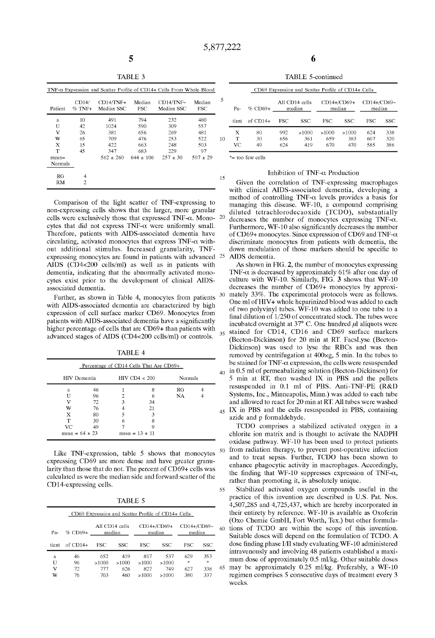40

45

| TABLE |  |
|-------|--|

| $TNF-\alpha$ Expression and Scatter Profile of CD14+ Cells From Whole Blood |                   |                           |                      |                                  |                      |  |  |
|-----------------------------------------------------------------------------|-------------------|---------------------------|----------------------|----------------------------------|----------------------|--|--|
| Patient                                                                     | CD14/<br>$%$ TNF+ | $CD14/TNF+$<br>Median SSC | Median<br><b>FSC</b> | $CD14/\text{TNF}-$<br>Median SSC | Median<br><b>FSC</b> |  |  |
| a                                                                           | 10                | 491                       | 794                  | 232                              | 480                  |  |  |
| U                                                                           | 42                | 1024                      | 590                  | 309                              | 557                  |  |  |
| v                                                                           | 26                | 381                       | 656                  | 269                              | 481                  |  |  |
| w                                                                           | 65                | 709                       | 476                  | 253                              | 522                  |  |  |
| X                                                                           | 15                | 422                       | 663                  | 248                              | 503                  |  |  |
| т                                                                           | 45                | 347                       | 683                  | 229                              | 97                   |  |  |
| $mean =$                                                                    |                   | $562 \pm 260$             | $644 + 106$          | $257 + 30$                       | $507 \pm 29$         |  |  |
| Normals                                                                     |                   |                           |                      |                                  |                      |  |  |
| RG                                                                          | 4                 |                           |                      |                                  |                      |  |  |
| RМ                                                                          | 2                 |                           |                      |                                  |                      |  |  |

Comparison of the light scatter of TNF-expressing to non-expressing cells shows that the larger, more granular cells were exclusively those that expressed TNF- $\alpha$ . Mono- 20 cytes that did not express TNF- $\alpha$  were uniformly small. Therefore, patients with AIDS-associated dementia have circulating, activated monocytes that express TNF- $\alpha$  without additional stimulus. Increased granularity, TNFexpressing monocytes are found in patients with advanced <sup>25</sup> AIDS (CD4<200 cells/ml) as well as in patients with dementia, indicating that the abnormally activated monocytes exist prior to the development of clinical AIDSassociated dementia.

Further, as shown in Table 4, monocytes from patients  $30$ with AIDS-associated dementia are characterized by high expression of cell surface marker CD69. Monocytes from patients with AIDS-associated dementia have a significantly higher percentage of cells that are CD69+ than patients with advanced stages of AIDS (CD4<200 cells/ml) or controls. <sup>35</sup>

| Percentage of CD14 Cells That Are CD69+      |    |   |    |    |  |  |  |
|----------------------------------------------|----|---|----|----|--|--|--|
| $HIV$ CD4 $<$ 200<br>HIV Dementia<br>Normals |    |   |    |    |  |  |  |
| a                                            | 46 |   |    | RG |  |  |  |
|                                              | 96 |   | 6  | NA |  |  |  |
| v                                            | 72 | 3 | 34 |    |  |  |  |
| w                                            | 76 |   | 21 |    |  |  |  |
|                                              |    |   |    |    |  |  |  |

T 30 6 8 VC 49 7 9 mean =  $64 \pm 23$  mean =  $13 \pm 11$ 

TABLE 4

Like TNF-expression, table 5 shows that monocytes expressing CD69 are more dense and have greater granularity than those that do not. The percent of CD69+ cells was calculated as were the median side and forward scatter of the CD14-expressing cells.

TABLE 5

| CD69 Expression and Scatter Profile of CD14+ Cells                                                          |            |              |              |              |              |            |            |    |  |
|-------------------------------------------------------------------------------------------------------------|------------|--------------|--------------|--------------|--------------|------------|------------|----|--|
| All CD14 cells<br>CD14+/CD69+<br>CD14+/CD69-<br>median<br>$%$ CD69+<br>median<br>median<br>P <sub>a</sub> - |            |              |              |              |              |            | 60         |    |  |
| tient                                                                                                       | $of$ CD14+ | FSC.         | SSC          | FSC          | SSC          | FSC        | SSC        |    |  |
| a<br>U                                                                                                      | 46<br>96   | 652<br>>1000 | 419<br>>1000 | 817<br>>1000 | 537<br>>1000 | 629<br>sk. | 353<br>sk. |    |  |
| v<br>w                                                                                                      | 72<br>76   | 777<br>703   | 626<br>460   | 827<br>>1000 | 749<br>>1000 | 627<br>380 | 338<br>337 | 65 |  |

6

TABLE 5-continued

|    |                  |                |                          | CD69 Expression and Scatter Profile of CD14+ Cells |                       |                     |                       |                   |
|----|------------------|----------------|--------------------------|----------------------------------------------------|-----------------------|---------------------|-----------------------|-------------------|
| 5  | P <sub>a</sub> - | $%$ CD69+      | All CD14 cells<br>median |                                                    | CD14+/CD69+<br>median |                     | CD14+/CD69-<br>median |                   |
|    | tient            | $of$ CD14+     | <b>FSC</b>               | SSC                                                | <b>FSC</b>            | SSC.                | FSC                   | SSC               |
| 10 | Х<br>т<br>VC     | 80<br>30<br>49 | 992<br>656<br>624        | >1000<br>361<br>419                                | >1000<br>659<br>670   | >1000<br>383<br>470 | 624<br>607<br>585     | 338<br>320<br>386 |

\*= too few cells

## Inhibition of TNF- $\alpha$  Production

Given the correlation of TNF-expressing macrophages with clinical AIDS-associated dementia, developing a method of controlling TNF- $\alpha$  levels provides a basis for managing this disease. WF-lO, a compound comprising diluted tetrachlorodecaoxide (TCDO), substantially decreases the number of monocytes expressing  $TNF-\alpha$ . Furthermore, WF-10 also significantly decreases the number of CD69+ monocytes. Since expression of CD69 and TNF- $\alpha$ discriminate monocytes from patients with dementia, the down modulation of those markers should be specific to AIDS dementia.

As shown in FIG. 2, the number of monocytes expressing TNF- $\alpha$  is decreased by approximately 61% after one day of culture with WF-lO. Similarly, FIG. 3 shows that WF-lO decreases the number of CD69+ monocytes by approximately 33%. The experimental protocols were as follows. One ml of HIV+ whole heparinized blood was added to each of two polyvinyl tubes. WF-10 was added to one tube to a final dilution of 1/250 of concentrated stock. The tubes were incubated overnight at 37 $\degree$  C. One hundred  $\mu$ l aliquots were stained for CD14, CD16 and CD69 surface markers (Becton-Dickinson) for 20 min at RT. FacsLyse (Becton-Dickinson) was used to lyse the RBCs and was then removed by centrifugation at  $400 \times g$ , 5 min. In the tubes to be stained for TNF- $\alpha$  expression, the cells were resuspended in 0.5 mI of permeabalizing solution (Becton-Dickinson) for 5 min at RT, then washed IX in PBS and the pellets resuspended in 0.1 mI of PBS. Anti-TNF-PE (R&D Systems, Inc., Minneapolis, Minn.) was added to each tube and allowed to react for 20 min at RT. All tubes were washed IX in PBS and the cells resuspended in PBS, containing azide and p formaldehyde.

TCDO comprises a stabilized activated oxygen in a chlorite ion matrix and is thought to activate the NADPH oxidase pathway. WF-lO has been used to protect patients 50 from radiation therapy, to prevent post-operative infection and to treat sepsis. Further, TCDO has been shown to enhance phagocytic activity in macrophages. Accordingly, the finding that WF-10 suppresses expression of TNF- $\alpha$ , rather than promoting it, is absolutely unique.

55 Stabilized activated oxygen compounds useful in the practice of this invention are described in U.S. Pat. Nos. 4,507,285 and 4,725,437, which are hereby incorporated in their entirety by reference. WF-lO is available as Oxoferin (Oxo Chemie GmbH, Fort Worth, Tex.) but other formulations of TCDO are within the scope of this invention. Suitable doses will depend on the formulation of TCDO. A dose finding phase I/II study evaluating WF-10 administered intravenously and involving 48 patients established a maximum dose of approximately 0.5 ml/kg. Other suitable doses may be approximately 0.25 ml/kg. Preferably, a WF-10 regimen comprises 5 consecutive days of treatment every 3 weeks.